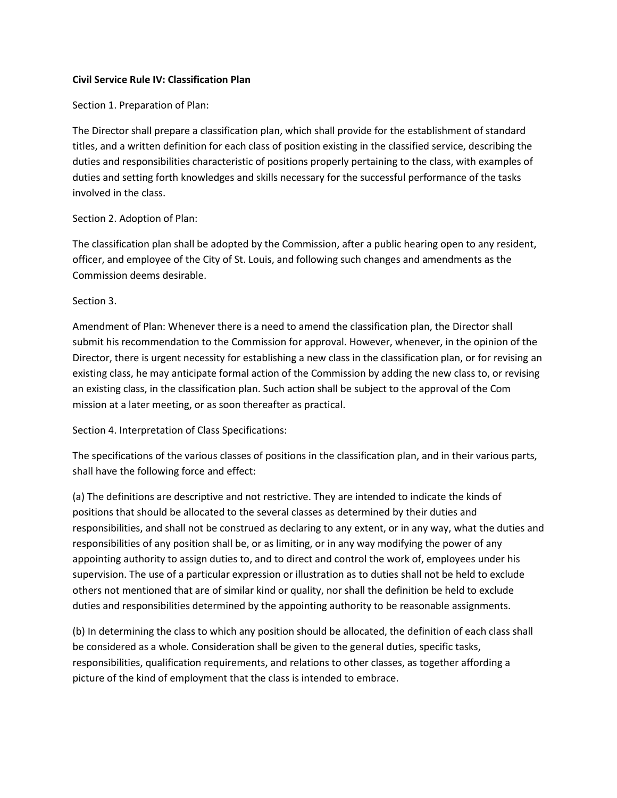## **Civil Service Rule IV: Classification Plan**

Section 1. Preparation of Plan:

The Director shall prepare a classification plan, which shall provide for the establishment of standard titles, and a written definition for each class of position existing in the classified service, describing the duties and responsibilities characteristic of positions properly pertaining to the class, with examples of duties and setting forth knowledges and skills necessary for the successful performance of the tasks involved in the class.

## Section 2. Adoption of Plan:

The classification plan shall be adopted by the Commission, after a public hearing open to any resident, officer, and employee of the City of St. Louis, and following such changes and amendments as the Commission deems desirable.

## Section 3.

Amendment of Plan: Whenever there is a need to amend the classification plan, the Director shall submit his recommendation to the Commission for approval. However, whenever, in the opinion of the Director, there is urgent necessity for establishing a new class in the classification plan, or for revising an existing class, he may anticipate formal action of the Commission by adding the new class to, or revising an existing class, in the classification plan. Such action shall be subject to the approval of the Com mission at a later meeting, or as soon thereafter as practical.

Section 4. Interpretation of Class Specifications:

The specifications of the various classes of positions in the classification plan, and in their various parts, shall have the following force and effect:

(a) The definitions are descriptive and not restrictive. They are intended to indicate the kinds of positions that should be allocated to the several classes as determined by their duties and responsibilities, and shall not be construed as declaring to any extent, or in any way, what the duties and responsibilities of any position shall be, or as limiting, or in any way modifying the power of any appointing authority to assign duties to, and to direct and control the work of, employees under his supervision. The use of a particular expression or illustration as to duties shall not be held to exclude others not mentioned that are of similar kind or quality, nor shall the definition be held to exclude duties and responsibilities determined by the appointing authority to be reasonable assignments.

(b) In determining the class to which any position should be allocated, the definition of each class shall be considered as a whole. Consideration shall be given to the general duties, specific tasks, responsibilities, qualification requirements, and relations to other classes, as together affording a picture of the kind of employment that the class is intended to embrace.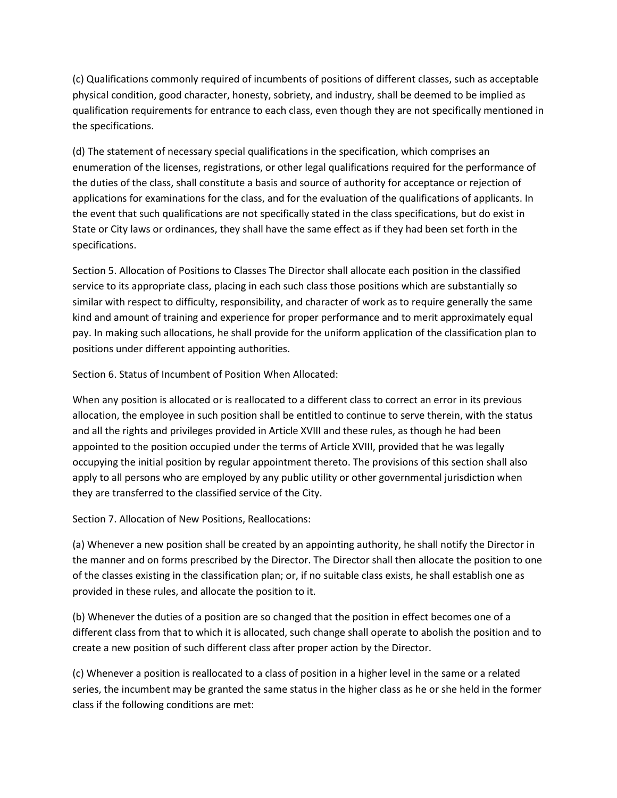(c) Qualifications commonly required of incumbents of positions of different classes, such as acceptable physical condition, good character, honesty, sobriety, and industry, shall be deemed to be implied as qualification requirements for entrance to each class, even though they are not specifically mentioned in the specifications.

(d) The statement of necessary special qualifications in the specification, which comprises an enumeration of the licenses, registrations, or other legal qualifications required for the performance of the duties of the class, shall constitute a basis and source of authority for acceptance or rejection of applications for examinations for the class, and for the evaluation of the qualifications of applicants. In the event that such qualifications are not specifically stated in the class specifications, but do exist in State or City laws or ordinances, they shall have the same effect as if they had been set forth in the specifications.

Section 5. Allocation of Positions to Classes The Director shall allocate each position in the classified service to its appropriate class, placing in each such class those positions which are substantially so similar with respect to difficulty, responsibility, and character of work as to require generally the same kind and amount of training and experience for proper performance and to merit approximately equal pay. In making such allocations, he shall provide for the uniform application of the classification plan to positions under different appointing authorities.

Section 6. Status of Incumbent of Position When Allocated:

When any position is allocated or is reallocated to a different class to correct an error in its previous allocation, the employee in such position shall be entitled to continue to serve therein, with the status and all the rights and privileges provided in Article XVIII and these rules, as though he had been appointed to the position occupied under the terms of Article XVIII, provided that he was legally occupying the initial position by regular appointment thereto. The provisions of this section shall also apply to all persons who are employed by any public utility or other governmental jurisdiction when they are transferred to the classified service of the City.

Section 7. Allocation of New Positions, Reallocations:

(a) Whenever a new position shall be created by an appointing authority, he shall notify the Director in the manner and on forms prescribed by the Director. The Director shall then allocate the position to one of the classes existing in the classification plan; or, if no suitable class exists, he shall establish one as provided in these rules, and allocate the position to it.

(b) Whenever the duties of a position are so changed that the position in effect becomes one of a different class from that to which it is allocated, such change shall operate to abolish the position and to create a new position of such different class after proper action by the Director.

(c) Whenever a position is reallocated to a class of position in a higher level in the same or a related series, the incumbent may be granted the same status in the higher class as he or she held in the former class if the following conditions are met: